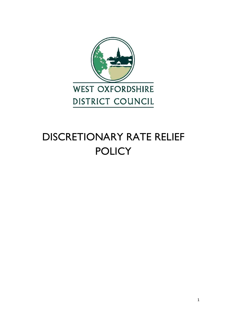

# DISCRETIONARY RATE RELIEF **POLICY**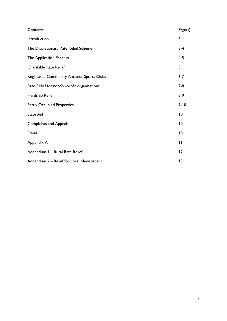| Contents:                                    | Page(s)      |
|----------------------------------------------|--------------|
| Introduction                                 | 3            |
| The Discretionary Rate Relief Scheme         | $3 - 4$      |
| The Application Process                      | $4 - 5$      |
| <b>Charitable Rate Relief</b>                | 5            |
| Registered Community Amateur Sports Clubs    | $6 - 7$      |
| Rate Relief for not-for-profit organisations | $7 - 8$      |
| Hardship Relief                              | $8-9$        |
| <b>Partly Occupied Properties</b>            | $9 - 10$     |
| <b>State Aid</b>                             | 10           |
| <b>Complaints and Appeals</b>                | 10           |
| Fraud                                        | 10           |
| Appendix A                                   | $\mathbf{H}$ |
| Addendum I - Rural Rate Relief               | 12           |
| Addendum 2 - Relief for Local Newspapers     | 13           |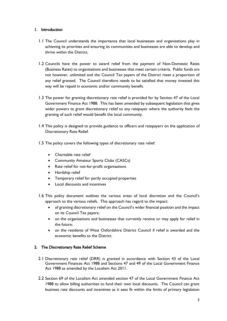# 1. Introduction

- 1.1 The Council understands the importance that local businesses and organisations play in achieving its priorities and ensuring its communities and businesses are able to develop and thrive within the District.
- 1.2 Councils have the power to award relief from the payment of Non-Domestic Rates (Business Rates) to organisations and businesses that meet certain criteria. Public funds are not however, unlimited and the Council Tax payers of the District meet a proportion of any relief granted. The Council therefore needs to be satisfied that money invested this way will be repaid in economic and/or community benefit.
- 1.3 The power for granting discretionary rate relief is provided for by Section 47 of the Local Government Finance Act 1988. This has been amended by subsequent legislation that gives wider powers to grant discretionary relief to any ratepayer where the authority feels the granting of such relief would benefit the local community.
- 1.4 This policy is designed to provide guidance to officers and ratepayers on the application of Discretionary Rate Relief.
- 1.5 The policy covers the following types of discretionary rate relief:
	- Charitable rate relief
	- Community Amateur Sports Clubs (CASCs)
	- Rate relief for not-for-profit organisations
	- Hardship relief
	- Temporary relief for partly occupied properties
	- Local discounts and incentives
- 1.6 This policy document outlines the various areas of local discretion and the Council's approach to the various reliefs. This approach has regard to the impact:
	- of granting discretionary relief on the Council's wider financial position and the impact on its Council Tax payers;
	- on the organisations and businesses that currently receive or may apply for relief in the future;
	- on the residents of West Oxfordshire District Council if relief is awarded and the economic benefits to the District.

## 2. The Discretionary Rate Relief Scheme

- 2.1 Discretionary rate relief (DRR) is granted in accordance with Section 43 of the Local Government Finances Act 1988 and Sections 47 and 49 of the Local Government Finance Act 1988 as amended by the Localism Act 2011.
- 2.2 Section 69 of the Localism Act amended section 47 of the Local Government Finance Act 1988 to allow billing authorities to fund their own local discounts. The Council can grant business rate discounts and incentives as it sees fit within the limits of primary legislation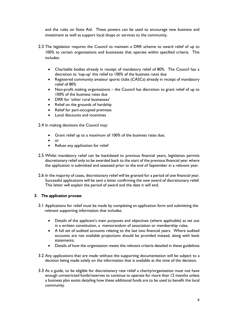and the rules on State Aid. These powers can be used to encourage new business and investment as well as support local shops or services to the community.

- 2.3 The legislation requires the Council to maintain a DRR scheme to award relief of up to 100% to certain organisations and businesses that operate within specified criteria. This includes:
	- Charitable bodies already in receipt of mandatory relief of 80%. The Council has a discretion to 'top-up' this relief to 100% of the business rates due
	- Registered community amateur sports clubs (CASCs) already in receipt of mandatory relief of 80%
	- Non-profit making organisations the Council has discretion to grant relief of up to 100% of the business rates due
	- DRR for 'other rural businesses'
	- Relief on the grounds of hardship
	- Relief for part-occupied premises
	- Local discounts and incentives

2.4 In making decisions the Council may:

- Grant relief up to a maximum of 100% of the business rates due;
- $\bullet$  or
- Refuse any application for relief
- 2.5 Whilst mandatory relief can be backdated to previous financial years, legislation permits discretionary relief only to be awarded back to the start of the previous financial year where the application is submitted and assessed prior to the end of September in a relevant year.
- 2.6 In the majority of cases, discretionary relief will be granted for a period of one financial year. Successful applications will be sent a letter confirming the new award of discretionary relief. This letter will explain the period of award and the date it will end.

# 3. The application process

- 3.1 Applications for relief must be made by completing an application form and submitting the relevant supporting information that includes:
	- Details of the applicant's main purposes and objectives (where applicable) as set out in a written constitution, a memorandum of association or membership rules;
	- A full set of audited accounts relating to the last two financial years. Where audited accounts are not available projections should be provided instead, along with bank statements;
	- Details of how the organisation meets the relevant criteria detailed in these guidelines
- 3.2 Any applications that are made without the supporting documentation will be subject to a decision being made solely on the information that is available at the time of the decision.
- 3.3 As a guide, to be eligible for discretionary rate relief a charity/organisation must not have enough unrestricted funds/reserves to continue to operate for more than 12 months unless a business plan exists detailing how these additional funds are to be used to benefit the local community.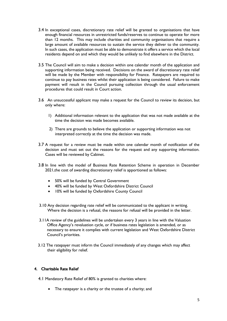- 3.4 In exceptional cases, discretionary rate relief will be granted to organisations that have enough financial resources in unrestricted funds/reserves to continue to operate for more than 12 months. This may include charities and community organisations that require a large amount of available resources to sustain the service they deliver to the community. In such cases, the application must be able to demonstrate it offers a service which the local residents depend on and which they would be unlikely to find elsewhere in the District.
- 3.5 The Council will aim to make a decision within one calendar month of the application and supporting information being received. Decisions on the award of discretionary rate relief will be made by the Member with responsibility for Finance. Ratepayers are required to continue to pay business rates whilst their application is being considered. Failure to make payment will result in the Council pursuing collection through the usual enforcement procedures that could result in Court action.
- 3.6 An unsuccessful applicant may make a request for the Council to review its decision, but only where:
	- 1) Additional information relevant to the application that was not made available at the time the decision was made becomes available.
	- 2) There are grounds to believe the application or supporting information was not interpreted correctly at the time the decision was made.
- 3.7 A request for a review must be made within one calendar month of notification of the decision and must set out the reasons for the request and any supporting information. Cases will be reviewed by Cabinet.
- 3.8 In line with the model of Business Rate Retention Scheme in operation in December 2021,the cost of awarding discretionary relief is apportioned as follows:
	- 50% will be funded by Central Government
	- 40% will be funded by West Oxfordshire District Council
	- 10% will be funded by Oxfordshire County Council
- 3.10 Any decision regarding rate relief will be communicated to the applicant in writing. Where the decision is a refusal, the reasons for refusal will be provided in the letter.
- 3.11A review of the guidelines will be undertaken every 3 years in line with the Valuation Office Agency's revaluation cycle, or if business rates legislation is amended, or as necessary to ensure it complies with current legislation and West Oxfordshire District Council's priorities.
- 3.12 The ratepayer must inform the Council immediately of any changes which may affect their eligibility for relief.

# 4. Charitable Rate Relief

- 4.1 Mandatory Rate Relief of 80% is granted to charities where:
	- The ratepayer is a charity or the trustee of a charity; and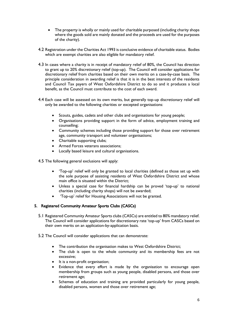- The property is wholly or mainly used for charitable purposed (including charity shops where the goods sold are mainly donated and the proceeds are used for the purposes of the charity).
- 4.2 Registration under the Charities Act 1993 is conclusive evidence of charitable status. Bodies which are exempt charities are also eligible for mandatory relief.
- 4.3 In cases where a charity is in receipt of mandatory relief of 80%, the Council has direction to grant up to 20% discretionary relief (top-up). The Council will consider applications for discretionary relief from charities based on their own merits on a case-by-case basis. The principle consideration in awarding relief is that it is in the best interests of the residents and Council Tax payers of West Oxfordshire District to do so and it produces a local benefit, as the Council must contribute to the cost of each award.
- 4.4 Each case will be assessed on its own merits, but generally top-up discretionary relief will only be awarded to the following charities or excepted organisations:
	- Scouts, guides, cadets and other clubs and organisations for young people;
	- Organisations providing support in the form of advice, employment training and counselling;
	- Community schemes including those providing support for those over retirement age, community transport and volunteer organisations;
	- Charitable supporting clubs;
	- Armed Forces veterans associations:
	- Locally based leisure and cultural organisations.
- 4.5 The following general exclusions will apply:
	- 'Top-up' relief will only be granted to local charities (defined as those set up with the sole purpose of assisting residents of West Oxfordshire District and whose main office is situated within the District;
	- Unless a special case for financial hardship can be proved 'top-up' to national charities (including charity shops) will not be awarded;
	- 'Top-up' relief for Housing Associations will not be granted.

# 5. Registered Community Amateur Sports Clubs (CASCs)

- 5.1 Registered Community Amateur Sports clubs (CASCs) are entitled to 80% mandatory relief. The Council will consider applications for discretionary rate 'top-up' from CASCs based on their own merits on an application-by-application basis.
- 5.2 The Council will consider applications that can demonstrate:
	- The contribution the organisation makes to West Oxfordshire District;
	- The club is open to the whole community and its membership fees are not excessive;
	- It is a non-profit organisation;
	- Evidence that every effort is made by the organisation to encourage open membership from groups such as young people, disabled persons, and those over retirement age;
	- Schemes of education and training are provided particularly for young people, disabled persons, women and those over retirement age;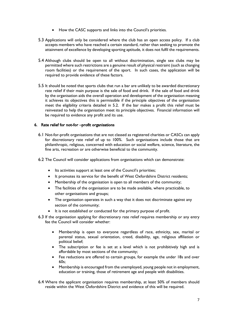- How the CASC supports and links into the Council's priorities.
- 5.3 Applications will only be considered where the club has an open access policy. If a club accepts members who have reached a certain standard, rather than seeking to promote the attainment of excellence by developing sporting aptitude, it does not fulfil the requirements.
- 5.4 Although clubs should be open to all without discrimination, single sex clubs may be permitted where such restrictions are a genuine result of physical restraint (such as changing room facilities) or the requirement of the sport. In such cases, the application will be required to provide evidence of these factors.
- 5.5 It should be noted that sports clubs that run a bar are unlikely to be awarded discretionary rate relief if their main purpose is the sale of food and drink. If the sale of food and drink by the organisation aids the overall operation and development of the organisation meaning it achieves its objectives this is permissible if the principle objectives of the organisation meet the eligibility criteria detailed in 5.2. If the bar makes a profit this relief must be reinvested to help the organisation meet its principle objectives. Financial information will be required to evidence any profit and its use.

# 6. Rate relief for not-for –profit organisations

- 6.1 Not-for-profit organisations that are not classed as registered charities or CASCs can apply for discretionary rate relief of up to 100%. Such organisations include those that are philanthropic, religious, concerned with education or social welfare, science, literature, the fine arts, recreation or are otherwise beneficial to the community.
- 6.2 The Council will consider applications from organisations which can demonstrate:
	- Its activities support at least one of the Council's priorities;
	- It promotes its service for the benefit of West Oxfordshire District residents;
	- Membership of the organisation is open to all members of the community;
	- The facilities of the organisation are to be made available, where practicable, to other organisations and groups;
	- The organisation operates in such a way that it does not discriminate against any section of the community;
	- It is not established or conducted for the primary purpose of profit.
- 6.3 If the organisation applying for discretionary rate relief requires membership or any entry fee the Council will consider whether:
	- Membership is open to everyone regardless of race, ethnicity, sex, marital or parental status, sexual orientation, creed, disability, age, religious affiliation or political belief;
	- The subscription or fee is set at a level which is not prohibitively high and is affordable by most sections of the community;
	- Fee reductions are offered to certain groups, for example the under 18s and over 60s;
	- Membership is encouraged from the unemployed, young people not in employment, education or training, those of retirement age and people with disabilities.
- 6.4 Where the applicant organisation requires membership, at least 50% of members should reside within the West Oxfordshire District and evidence of this will be required.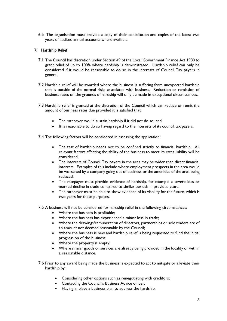6.5 The organisation must provide a copy of their constitution and copies of the latest two years of audited annual accounts where available.

# 7. Hardship Relief

- 7.1 The Council has discretion under Section 49 of the Local Government Finance Act 1988 to grant relief of up to 100% where hardship is demonstrated. Hardship relief can only be considered if it would be reasonable to do so in the interests of Council Tax payers in general.
- 7.2 Hardship relief will be awarded where the business is suffering from unexpected hardship that is outside of the normal risks associated with business. Reduction or remission of business rates on the grounds of hardship will only be made in exceptional circumstances.
- 7.3 Hardship relief is granted at the discretion of the Council which can reduce or remit the amount of business rates due provided it is satisfied that:
	- The ratepayer would sustain hardship if it did not do so; and
	- It is reasonable to do so having regard to the interests of its council tax payers,

7.4 The following factors will be considered in assessing the application:

- The test of hardship needs not to be confined strictly to financial hardship. All relevant factors affecting the ability of the business to meet its rates liability will be considered.
- The interests of Council Tax payers in the area may be wider than direct financial interests. Examples of this include where employment prospects in the area would be worsened by a company going out of business or the amenities of the area being reduced.
- The ratepayer must provide evidence of hardship, for example a severe loss or marked decline in trade compared to similar periods in previous years.
- The ratepayer must be able to show evidence of its viability for the future, which is two years for these purposes.

7.5 A business will not be considered for hardship relief in the following circumstances:

- Where the business is profitable;
- Where the business has experienced a minor loss in trade;
- Where the drawings/remuneration of directors, partnerships or sole traders are of an amount not deemed reasonable by the Council;
- Where the business is new and hardship relief is being requested to fund the initial progression of the business;
- Where the property is empty;
- Where similar goods or services are already being provided in the locality or within a reasonable distance.

7.6 Prior to any award being made the business is expected to act to mitigate or alleviate their hardship by:

- Considering other options such as renegotiating with creditors;
- Contacting the Council's Business Advice officer;
- Having in place a business plan to address the hardship.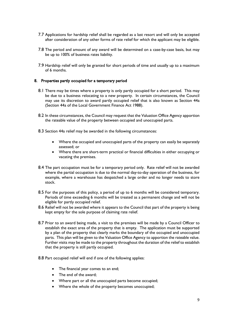- 7.7 Applications for hardship relief shall be regarded as a last resort and will only be accepted after consideration of any other forms of rate relief for which the applicant may be eligible.
- 7.8 The period and amount of any award will be determined on a case-by-case basis, but may be up to 100% of business rates liability.
- 7.9 Hardship relief will only be granted for short periods of time and usually up to a maximum of 6 months.

## 8. Properties partly occupied for a temporary period

- 8.1 There may be times where a property is only partly occupied for a short period. This may be due to a business relocating to a new property. In certain circumstances, the Council may use its discretion to award partly occupied relief that is also known as Section 44a (Section 44a of the Local Government Finance Act 1988).
- 8.2 In these circumstances, the Council may request that the Valuation Office Agency apportion the rateable value of the property between occupied and unoccupied parts.
- 8.3 Section 44a relief may be awarded in the following circumstances:
	- Where the occupied and unoccupied parts of the property can easily be separately assessed; or
	- Where there are short-term practical or financial difficulties in either occupying or vacating the premises.
- 8.4 The part occupation must be for a temporary period only. Rate relief will not be awarded where the partial occupation is due to the normal day-to-day operation of the business, for example, where a warehouse has despatched a large order and no longer needs to store stock.
- 8.5 For the purposes of this policy, a period of up to 6 months will be considered temporary. Periods of time exceeding 6 months will be treated as a permanent change and will not be eligible for partly occupied relief.
- 8.6 Relief will not be awarded where it appears to the Council that part of the property is being kept empty for the sole purpose of claiming rate relief.
- 8.7 Prior to an award being made, a visit to the premises will be made by a Council Officer to establish the exact area of the property that is empty. The application must be supported by a plan of the property that clearly marks the boundary of the occupied and unoccupied parts. This plan will be given to the Valuation Office Agency to apportion the rateable value. Further visits may be made to the property throughout the duration of the relief to establish that the property is still partly occupied.
- 8.8 Part occupied relief will end if one of the following applies:
	- The financial year comes to an end;
	- The end of the award:
	- Where part or all the unoccupied parts become occupied;
	- Where the whole of the property becomes unoccupied;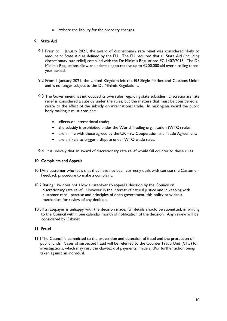• Where the liability for the property changes.

# 9. State Aid

- 9.1 Prior to 1 January 2021, the award of discretionary rate relief was considered likely to amount to State Aid as defined by the EU. The EU required that all State Aid (including discretionary rate relief) compiled with the De Minimis Regulations EC 1407/2013. The De Minimis Regulations allow an undertaking to receive up to  $\epsilon$ 200,000 aid over a rolling threeyear period.
- 9.2 From 1 January 2021, the United Kingdom left the EU Single Market and Customs Union and is no longer subject to the De Minimis Regulations.
- 9.3 The Government has introduced its own rules regarding state subsidies. Discretionary rate relief is considered a subsidy under the rules, but the matters that must be considered all relate to the effect of the subsidy on international trade. In making an award the public body making it must consider:
	- effects on international trade;
	- the subsidy is prohibited under the World Trading organisation (WTO) rules;
	- are in line with those agreed by the UK –EU Cooperation and Trade Agreement;
	- are unlikely to trigger a dispute under WTO trade rules.
- 9.4 It is unlikely that an award of discretionary rate relief would fall counter to these rules.

## 10. Complaints and Appeals

- 10.1Any customer who feels that they have not been correctly dealt with can use the Customer Feedback procedure to make a complaint.
- 10.2 Rating Law does not allow a ratepayer to appeal a decision by the Council on discretionary rate relief. However in the interest of natural justice and in keeping with customer care practise and principles of open government, this policy provides a mechanism for review of any decision.
- 10.3If a ratepayer is unhappy with the decision made, full details should be submitted, in writing to the Council within one calendar month of notification of the decision. Any review will be considered by Cabinet.

## 11. Fraud

 11.1The Council is committed to the prevention and detection of fraud and the protection of public funds. Cases of suspected fraud will be referred to the Counter Fraud Unit (CFU) for investigations, which may result in clawback of payments, made and/or further action being taken against an individual.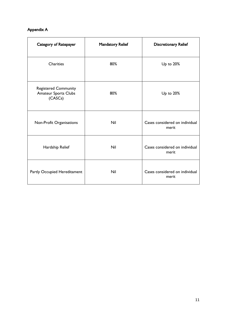# Appendix A

| Category of Ratepayer                                                 | <b>Mandatory Relief</b> | <b>Discretionary Relief</b>             |
|-----------------------------------------------------------------------|-------------------------|-----------------------------------------|
| <b>Charities</b>                                                      | 80%                     | Up to 20%                               |
| <b>Registered Community</b><br><b>Amateur Sports Clubs</b><br>(CASCs) | 80%                     | Up to 20%                               |
| Non-Profit Organisations                                              | Nil                     | Cases considered on individual<br>merit |
| Hardship Relief                                                       | Nil                     | Cases considered on individual<br>merit |
| Partly Occupied Hereditament                                          | <b>Nil</b>              | Cases considered on individual<br>merit |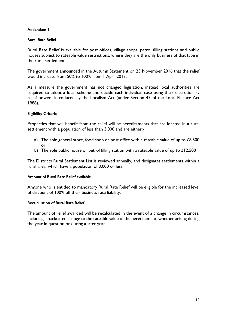# Addendum 1

# Rural Rate Relief

Rural Rate Relief is available for post offices, village shops, petrol filling stations and public houses subject to rateable value restrictions, where they are the only business of that type in the rural settlement.

The government announced in the Autumn Statement on 23 November 2016 that the relief would increase from 50% to 100% from 1 April 2017.

As a measure the government has not changed legislation, instead local authorities are required to adopt a local scheme and decide each individual case using their discretionary relief powers introduced by the Localism Act (under Section 47 of the Local Finance Act 1988).

# Eligibility Criteria

Properties that will benefit from the relief will be hereditaments that are located in a rural settlement with a population of less than 3,000 and are either:-

- a) The sole general store, food shop or post office with a rateable value of up to  $£8,500$ or;
- b) The sole public house or petrol filling station with a rateable value of up to £12,500

The Districts Rural Settlement List is reviewed annually, and designates settlements within a rural area, which have a population of 3,000 or less.

# Amount of Rural Rate Relief available

Anyone who is entitled to mandatory Rural Rate Relief will be eligible for the increased level of discount of 100% off their business rate liability.

# Recalculation of Rural Rate Relief

The amount of relief awarded will be recalculated in the event of a change in circumstances, including a backdated change to the rateable value of the hereditament, whether arising during the year in question or during a later year.